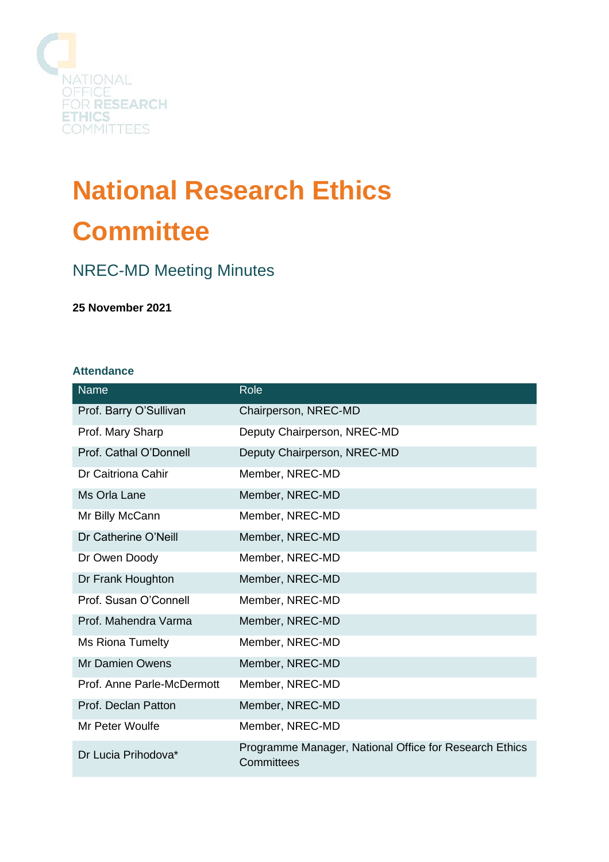

# **National Research Ethics Committee**

## NREC-MD Meeting Minutes

**25 November 2021**

#### **Attendance**

| <b>Name</b>                | Role                                                                 |
|----------------------------|----------------------------------------------------------------------|
| Prof. Barry O'Sullivan     | Chairperson, NREC-MD                                                 |
| Prof. Mary Sharp           | Deputy Chairperson, NREC-MD                                          |
| Prof. Cathal O'Donnell     | Deputy Chairperson, NREC-MD                                          |
| Dr Caitriona Cahir         | Member, NREC-MD                                                      |
| Ms Orla Lane               | Member, NREC-MD                                                      |
| Mr Billy McCann            | Member, NREC-MD                                                      |
| Dr Catherine O'Neill       | Member, NREC-MD                                                      |
| Dr Owen Doody              | Member, NREC-MD                                                      |
| Dr Frank Houghton          | Member, NREC-MD                                                      |
| Prof. Susan O'Connell      | Member, NREC-MD                                                      |
| Prof. Mahendra Varma       | Member, NREC-MD                                                      |
| Ms Riona Tumelty           | Member, NREC-MD                                                      |
| <b>Mr Damien Owens</b>     | Member, NREC-MD                                                      |
| Prof. Anne Parle-McDermott | Member, NREC-MD                                                      |
| Prof. Declan Patton        | Member, NREC-MD                                                      |
| Mr Peter Woulfe            | Member, NREC-MD                                                      |
| Dr Lucia Prihodova*        | Programme Manager, National Office for Research Ethics<br>Committees |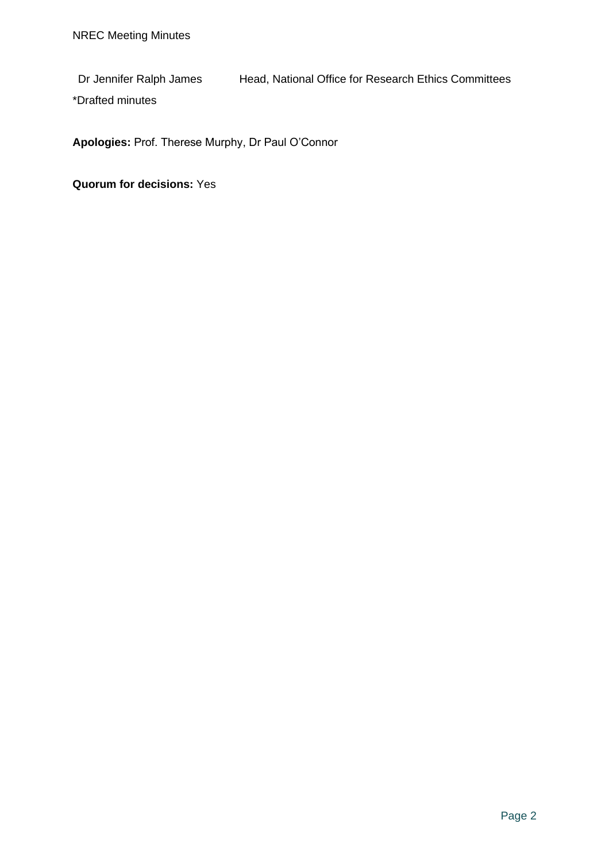Dr Jennifer Ralph James Head, National Office for Research Ethics Committees

\*Drafted minutes

**Apologies:** Prof. Therese Murphy, Dr Paul O'Connor

**Quorum for decisions:** Yes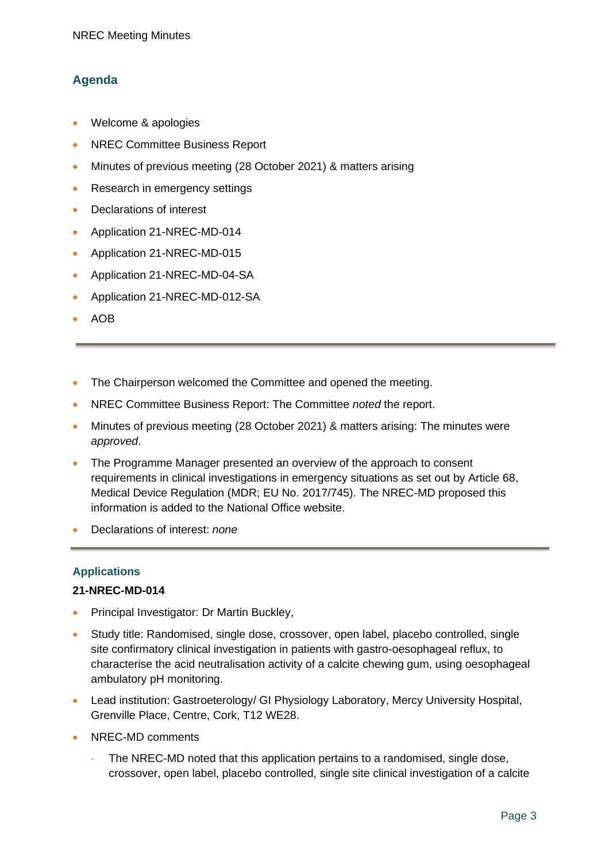### **Agenda**

- Welcome & apologies
- NREC Committee Business Report
- Minutes of previous meeting (28 October 2021) & matters arising
- Research in emergency settings
- Declarations of interest
- Application 21-NREC-MD-014
- Application 21-NREC-MD-015
- Application 21-NREC-MD-04-SA
- Application 21-NREC-MD-012-SA
- AOB
- The Chairperson welcomed the Committee and opened the meeting.
- NREC Committee Business Report: The Committee *noted* the report.
- Minutes of previous meeting (28 October 2021) & matters arising: The minutes were *approved*.
- The Programme Manager presented an overview of the approach to consent requirements in clinical investigations in emergency situations as set out by Article 68, Medical Device Regulation (MDR; EU No. 2017/745). The NREC-MD proposed this information is added to the National Office website.
- Declarations of interest: *none*

#### **Applications**

#### **21-NREC-MD-014**

- Principal Investigator: Dr Martin Buckley,
- Study title: Randomised, single dose, crossover, open label, placebo controlled, single site confirmatory clinical investigation in patients with gastro-oesophageal reflux, to characterise the acid neutralisation activity of a calcite chewing gum, using oesophageal ambulatory pH monitoring.
- Lead institution: Gastroeterology/ GI Physiology Laboratory, Mercy University Hospital, Grenville Place, Centre, Cork, T12 WE28.
- NREC-MD comments
	- The NREC-MD noted that this application pertains to a randomised, single dose, crossover, open label, placebo controlled, single site clinical investigation of a calcite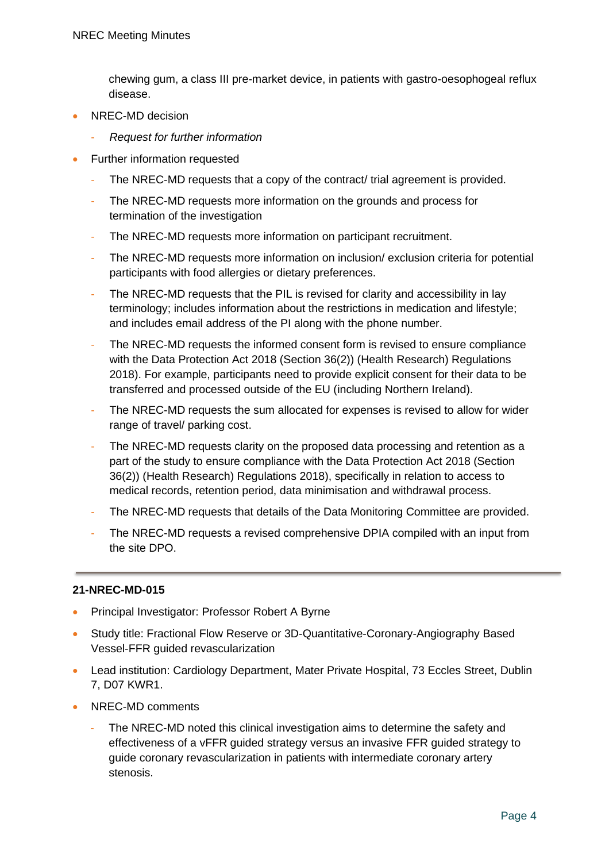chewing gum, a class III pre-market device, in patients with gastro-oesophogeal reflux disease.

- NREC-MD decision
	- *Request for further information*
- Further information requested
	- The NREC-MD requests that a copy of the contract/ trial agreement is provided.
	- The NREC-MD requests more information on the grounds and process for termination of the investigation
	- The NREC-MD requests more information on participant recruitment.
	- The NREC-MD requests more information on inclusion/ exclusion criteria for potential participants with food allergies or dietary preferences.
	- The NREC-MD requests that the PIL is revised for clarity and accessibility in lay terminology; includes information about the restrictions in medication and lifestyle; and includes email address of the PI along with the phone number.
	- The NREC-MD requests the informed consent form is revised to ensure compliance with the Data Protection Act 2018 (Section 36(2)) (Health Research) Regulations 2018). For example, participants need to provide explicit consent for their data to be transferred and processed outside of the EU (including Northern Ireland).
	- The NREC-MD requests the sum allocated for expenses is revised to allow for wider range of travel/ parking cost.
	- The NREC-MD requests clarity on the proposed data processing and retention as a part of the study to ensure compliance with the Data Protection Act 2018 (Section 36(2)) (Health Research) Regulations 2018), specifically in relation to access to medical records, retention period, data minimisation and withdrawal process.
	- The NREC-MD requests that details of the Data Monitoring Committee are provided.
	- The NREC-MD requests a revised comprehensive DPIA compiled with an input from the site DPO.

#### **21-NREC-MD-015**

- Principal Investigator: Professor Robert A Byrne
- Study title: Fractional Flow Reserve or 3D-Quantitative-Coronary-Angiography Based Vessel-FFR guided revascularization
- Lead institution: Cardiology Department, Mater Private Hospital, 73 Eccles Street, Dublin 7, D07 KWR1.
- NREC-MD comments
	- The NREC-MD noted this clinical investigation aims to determine the safety and effectiveness of a vFFR guided strategy versus an invasive FFR guided strategy to guide coronary revascularization in patients with intermediate coronary artery stenosis.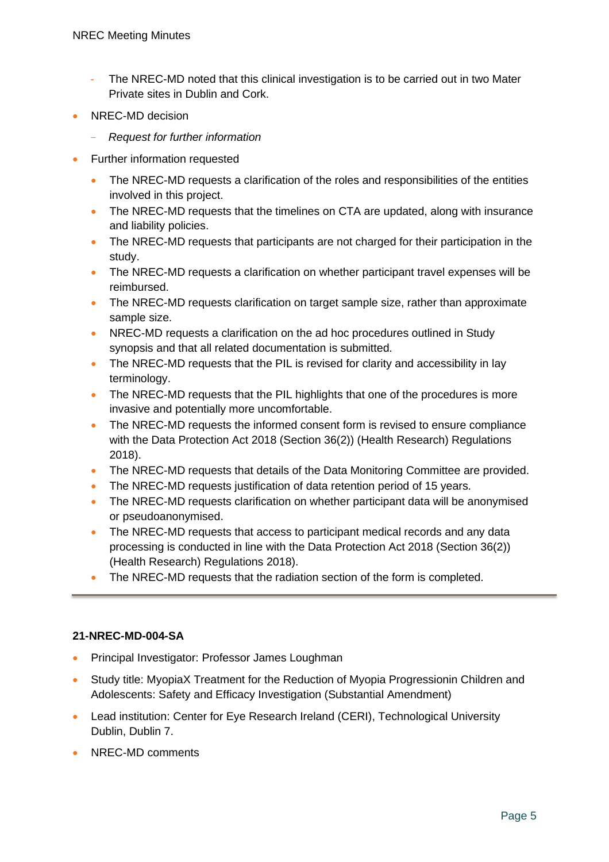- The NREC-MD noted that this clinical investigation is to be carried out in two Mater Private sites in Dublin and Cork.
- NREC-MD decision
	- *Request for further information*
- Further information requested
	- The NREC-MD requests a clarification of the roles and responsibilities of the entities involved in this project.
	- The NREC-MD requests that the timelines on CTA are updated, along with insurance and liability policies.
	- The NREC-MD requests that participants are not charged for their participation in the study.
	- The NREC-MD requests a clarification on whether participant travel expenses will be reimbursed.
	- The NREC-MD requests clarification on target sample size, rather than approximate sample size.
	- NREC-MD requests a clarification on the ad hoc procedures outlined in Study synopsis and that all related documentation is submitted.
	- The NREC-MD requests that the PIL is revised for clarity and accessibility in lay terminology.
	- The NREC-MD requests that the PIL highlights that one of the procedures is more invasive and potentially more uncomfortable.
	- The NREC-MD requests the informed consent form is revised to ensure compliance with the Data Protection Act 2018 (Section 36(2)) (Health Research) Regulations 2018).
	- The NREC-MD requests that details of the Data Monitoring Committee are provided.
	- The NREC-MD requests justification of data retention period of 15 years.
	- The NREC-MD requests clarification on whether participant data will be anonymised or pseudoanonymised.
	- The NREC-MD requests that access to participant medical records and any data processing is conducted in line with the Data Protection Act 2018 (Section 36(2)) (Health Research) Regulations 2018).
	- The NREC-MD requests that the radiation section of the form is completed.

#### **21-NREC-MD-004-SA**

- Principal Investigator: Professor James Loughman
- Study title: MyopiaX Treatment for the Reduction of Myopia Progressionin Children and Adolescents: Safety and Efficacy Investigation (Substantial Amendment)
- Lead institution: Center for Eye Research Ireland (CERI), Technological University Dublin, Dublin 7.
- NREC-MD comments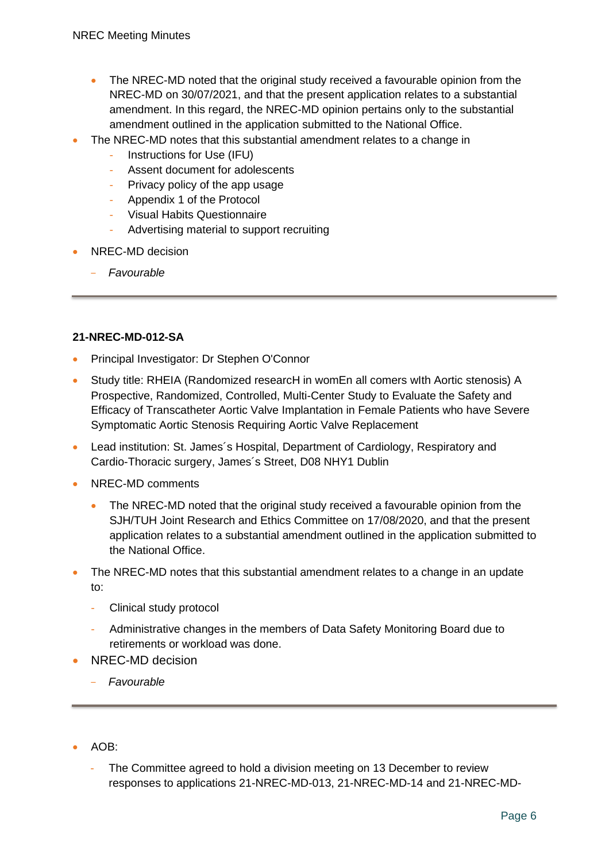- The NREC-MD noted that the original study received a favourable opinion from the NREC-MD on 30/07/2021, and that the present application relates to a substantial amendment. In this regard, the NREC-MD opinion pertains only to the substantial amendment outlined in the application submitted to the National Office.
- The NREC-MD notes that this substantial amendment relates to a change in
	- Instructions for Use (IFU)
	- Assent document for adolescents
	- Privacy policy of the app usage
	- Appendix 1 of the Protocol
	- Visual Habits Questionnaire
	- Advertising material to support recruiting
- NREC-MD decision
	- *Favourable*

#### **21-NREC-MD-012-SA**

- Principal Investigator: Dr Stephen O'Connor
- Study title: RHEIA (Randomized researcH in womEn all comers wIth Aortic stenosis) A Prospective, Randomized, Controlled, Multi-Center Study to Evaluate the Safety and Efficacy of Transcatheter Aortic Valve Implantation in Female Patients who have Severe Symptomatic Aortic Stenosis Requiring Aortic Valve Replacement
- Lead institution: St. James´s Hospital, Department of Cardiology, Respiratory and Cardio-Thoracic surgery, James´s Street, D08 NHY1 Dublin
- NREC-MD comments
	- The NREC-MD noted that the original study received a favourable opinion from the SJH/TUH Joint Research and Ethics Committee on 17/08/2020, and that the present application relates to a substantial amendment outlined in the application submitted to the National Office.
- The NREC-MD notes that this substantial amendment relates to a change in an update to:
	- Clinical study protocol
	- Administrative changes in the members of Data Safety Monitoring Board due to retirements or workload was done.
- NREC-MD decision
	- *Favourable*
- $AOB^+$ 
	- The Committee agreed to hold a division meeting on 13 December to review responses to applications 21-NREC-MD-013, 21-NREC-MD-14 and 21-NREC-MD-